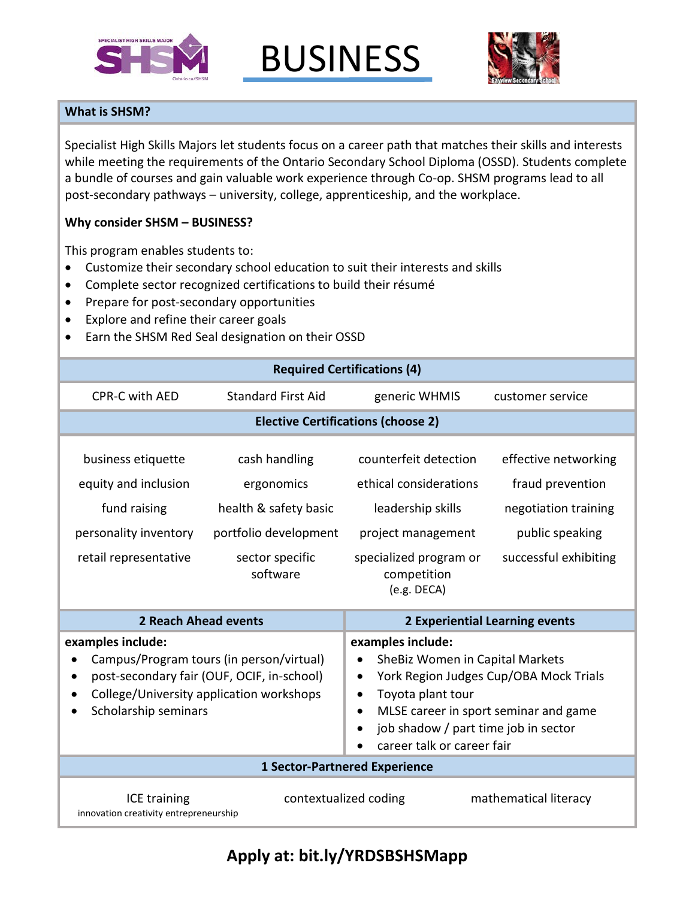

BUSINESS



## **What is SHSM?**

Specialist High Skills Majors let students focus on a career path that matches their skills and interests while meeting the requirements of the Ontario Secondary School Diploma (OSSD). Students complete a bundle of courses and gain valuable work experience through Co-op. SHSM programs lead to all post-secondary pathways – university, college, apprenticeship, and the workplace.

## **Why consider SHSM – BUSINESS?**

This program enables students to:

- Customize their secondary school education to suit their interests and skills
- Complete sector recognized certifications to build their résumé
- Prepare for post-secondary opportunities
- Explore and refine their career goals
- Earn the SHSM Red Seal designation on their OSSD

| <b>Required Certifications (4)</b>                                                                                                                                                           |                                                                                                              |                                                                                                                                                                                                                                                                   |                                                                                                              |  |
|----------------------------------------------------------------------------------------------------------------------------------------------------------------------------------------------|--------------------------------------------------------------------------------------------------------------|-------------------------------------------------------------------------------------------------------------------------------------------------------------------------------------------------------------------------------------------------------------------|--------------------------------------------------------------------------------------------------------------|--|
| <b>CPR-C with AED</b>                                                                                                                                                                        | <b>Standard First Aid</b>                                                                                    | generic WHMIS                                                                                                                                                                                                                                                     | customer service                                                                                             |  |
| <b>Elective Certifications (choose 2)</b>                                                                                                                                                    |                                                                                                              |                                                                                                                                                                                                                                                                   |                                                                                                              |  |
| business etiquette<br>equity and inclusion<br>fund raising<br>personality inventory<br>retail representative                                                                                 | cash handling<br>ergonomics<br>health & safety basic<br>portfolio development<br>sector specific<br>software | counterfeit detection<br>ethical considerations<br>leadership skills<br>project management<br>specialized program or<br>competition<br>(e.g. DECA)                                                                                                                | effective networking<br>fraud prevention<br>negotiation training<br>public speaking<br>successful exhibiting |  |
| 2 Reach Ahead events                                                                                                                                                                         |                                                                                                              | 2 Experiential Learning events                                                                                                                                                                                                                                    |                                                                                                              |  |
| examples include:<br>Campus/Program tours (in person/virtual)<br>post-secondary fair (OUF, OCIF, in-school)<br>$\bullet$<br>College/University application workshops<br>Scholarship seminars |                                                                                                              | examples include:<br>SheBiz Women in Capital Markets<br>York Region Judges Cup/OBA Mock Trials<br>٠<br>Toyota plant tour<br>$\bullet$<br>MLSE career in sport seminar and game<br>$\bullet$<br>job shadow / part time job in sector<br>career talk or career fair |                                                                                                              |  |
| <b>1 Sector-Partnered Experience</b>                                                                                                                                                         |                                                                                                              |                                                                                                                                                                                                                                                                   |                                                                                                              |  |
| mathematical literacy<br>ICE training<br>contextualized coding<br>innovation creativity entrepreneurship                                                                                     |                                                                                                              |                                                                                                                                                                                                                                                                   |                                                                                                              |  |

## **Apply at: bit.ly/YRDSBSHSMapp**